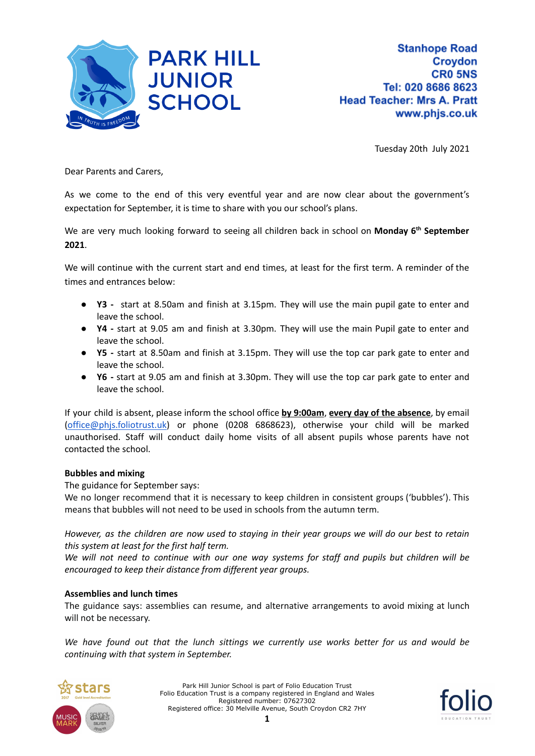

Tuesday 20th July 2021

Dear Parents and Carers,

As we come to the end of this very eventful year and are now clear about the government's expectation for September, it is time to share with you our school's plans.

We are very much looking forward to seeing all children back in school on **Monday 6 th September 2021**.

We will continue with the current start and end times, at least for the first term. A reminder of the times and entrances below:

- **Y3 -** start at 8.50am and finish at 3.15pm. They will use the main pupil gate to enter and leave the school.
- **● Y4 -** start at 9.05 am and finish at 3.30pm. They will use the main Pupil gate to enter and leave the school.
- **● Y5 -** start at 8.50am and finish at 3.15pm. They will use the top car park gate to enter and leave the school.
- **● Y6 -** start at 9.05 am and finish at 3.30pm. They will use the top car park gate to enter and leave the school.

If your child is absent, please inform the school office **by 9:00am**, **every day of the absence**, by email [\(office@phjs.foliotrust.uk\)](mailto:office@phjs.foliotrust.uk) or phone (0208 6868623), otherwise your child will be marked unauthorised. Staff will conduct daily home visits of all absent pupils whose parents have not contacted the school.

#### **Bubbles and mixing**

The guidance for September says:

We no longer recommend that it is necessary to keep children in consistent groups ('bubbles'). This means that bubbles will not need to be used in schools from the autumn term.

However, as the children are now used to staying in their year groups we will do our best to retain *this system at least for the first half term.*

We will not need to continue with our one way systems for staff and pupils but children will be *encouraged to keep their distance from different year groups.*

#### **Assemblies and lunch times**

The guidance says: assemblies can resume, and alternative arrangements to avoid mixing at lunch will not be necessary.

*We have found out that the lunch sittings we currently use works better for us and would be continuing with that system in September.*



Park Hill Junior School is part of Folio Education Trust Folio Education Trust is a company registered in England and Wales Registered number: 07627302 Registered office: 30 Melville Avenue, South Croydon CR2 7HY

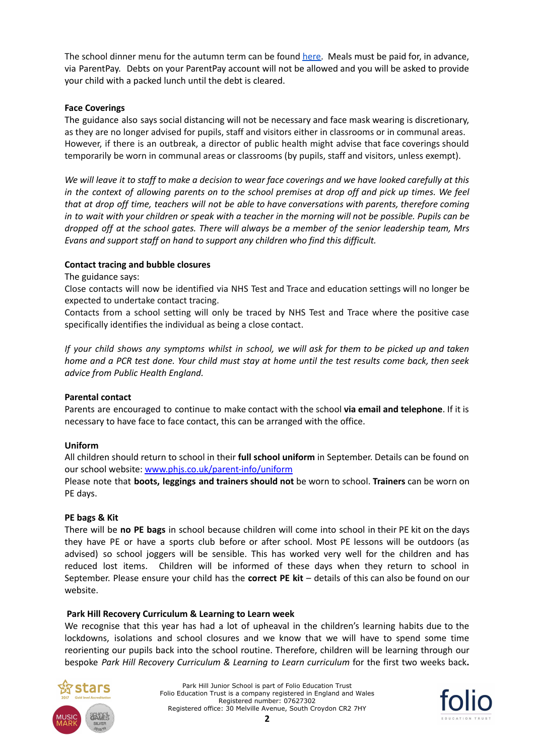The school dinner menu for the autumn term can be found [here.](https://www.phjs.co.uk/parent-info/school-meals) Meals must be paid for, in advance, via ParentPay. Debts on your ParentPay account will not be allowed and you will be asked to provide your child with a packed lunch until the debt is cleared.

## **Face Coverings**

The guidance also says social distancing will not be necessary and face mask wearing is discretionary, as they are no longer advised for pupils, staff and visitors either in classrooms or in communal areas. However, if there is an outbreak, a director of public health might advise that face coverings should temporarily be worn in communal areas or classrooms (by pupils, staff and visitors, unless exempt).

We will leave it to staff to make a decision to wear face coverings and we have looked carefully at this in the context of allowing parents on to the school premises at drop off and pick up times. We feel *that at drop off time, teachers will not be able to have conversations with parents, therefore coming* in to wait with your children or speak with a teacher in the morning will not be possible. Pupils can be *dropped off at the school gates. There will always be a member of the senior leadership team, Mrs Evans and support staff on hand to support any children who find this difficult.*

## **Contact tracing and bubble closures**

The guidance says:

Close contacts will now be identified via NHS Test and Trace and education settings will no longer be expected to undertake contact tracing.

Contacts from a school setting will only be traced by NHS Test and Trace where the positive case specifically identifies the individual as being a close contact.

If your child shows any symptoms whilst in school, we will ask for them to be picked up and taken home and a PCR test done. Your child must stay at home until the test results come back, then seek *advice from Public Health England.*

#### **Parental contact**

Parents are encouraged to continue to make contact with the school **via email and telephone**. If it is necessary to have face to face contact, this can be arranged with the office.

#### **Uniform**

All children should return to school in their **full school uniform** in September. Details can be found on our school website: [www.phjs.co.uk/parent-info/uniform](http://www.phjs.co.uk/parent-info/uniform)

Please note that **boots, leggings and trainers should not** be worn to school. **Trainers** can be worn on PE days.

#### **PE bags & Kit**

There will be **no PE bags** in school because children will come into school in their PE kit on the days they have PE or have a sports club before or after school. Most PE lessons will be outdoors (as advised) so school joggers will be sensible. This has worked very well for the children and has reduced lost items. Children will be informed of these days when they return to school in September. Please ensure your child has the **correct PE kit** – details of this can also be found on our website.

#### **Park Hill Recovery Curriculum & Learning to Learn week**

We recognise that this year has had a lot of upheaval in the children's learning habits due to the lockdowns, isolations and school closures and we know that we will have to spend some time reorienting our pupils back into the school routine. Therefore, children will be learning through our bespoke *Park Hill Recovery Curriculum & Learning to Learn curriculum* for the first two weeks back**.**



Park Hill Junior School is part of Folio Education Trust Folio Education Trust is a company registered in England and Wales Registered number: 07627302 Registered office: 30 Melville Avenue, South Croydon CR2 7HY